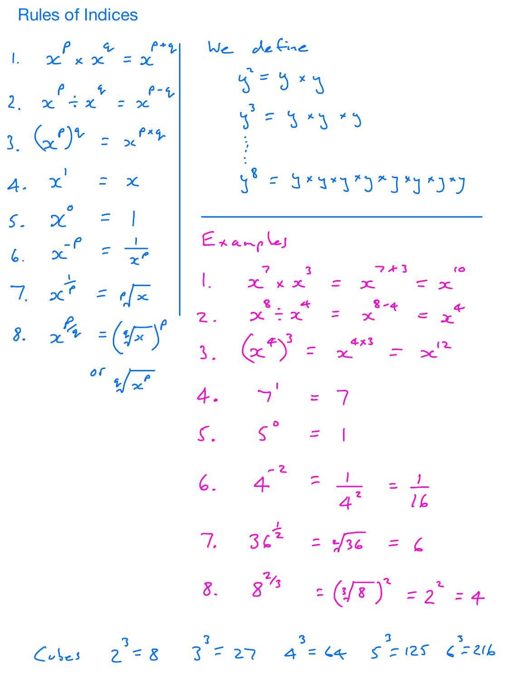Rules of Indices

1.  $x^{\rho} \times x^{\sigma} = x^{\rho+q}$  $2. \quad x^{\rho} \div x^{\rho} = x^{\rho - \rho}$  $3(x^p)^2 = x^{px}$  $4. x' = x$  $5. \quad \chi^0 = 1$ 6.  $x^{-p} = \frac{1}{x^{p}}$  $7. 2c^{7} = e^{7x}$ 8.  $x^{p} = (2\sqrt{x})^p$ or  $\sqrt[6]{x^{\rho}}$ 

$$
x^{p} \times x^{q} = x^{p+1}
$$
  
\n $x^{p} \div x^{p-1}$   
\n $x^{p} \div x^{p-1}$   
\n $x^{p} \div x^{p-1}$   
\n $x^{p} \div x^{p-1}$   
\n $x^{p} \div x^{p-1}$   
\n $x^{p} \div x^{p-1}$   
\n $x^{p} \div x^{p-1}$   
\n $x^{p} \div x^{p-1}$   
\n $x^{p} \div x^{p} \div x^{p}$   
\n $x^{p} \div x^{p} \div x^{p}$   
\n $x^{p} \div x^{p} \div x^{p}$   
\n $x^{p} \div x^{p} \div x^{p}$   
\n $x^{p} \div x^{p} \div x^{p}$   
\n $x^{p} \div x^{p} \div x^{p}$   
\n $x^{p} \div x^{p} \div x^{p}$   
\n $x^{p} \div x^{p} \div x^{p}$   
\n $x^{p} \div x^{p} \div x^{p}$   
\n $x^{p} \div x^{p} \div x^{p}$   
\n $x^{p} \div x^{p} \div x^{p}$   
\n $x^{p} \div x^{p} \div x^{p}$   
\n $x^{p} \div x^{p} \div x^{p}$   
\n $x^{p} \div x^{p} \div x^{p}$   
\n $x^{p} \div x^{p} \div x^{p}$   
\n $x^{p} \div x^{p} \div x^{p}$   
\n $x^{p} \div x^{p} \div x^{p}$   
\n $x^{p} \div x^{p} \div x^{p}$   
\n $x^{p} \div x^{p} \div x^{p}$   
\n $x^{p} \div x^{p}$   
\n $x^{p} \div x^{p}$   
\n $x^{p} \div x^{p}$   
\n $x^{p} \div x^{p}$   
\n $x^{p} \div x^{p}$   
\n $x^{p} \div x^{p}$   
\n $x^{p} \div x^{p}$   
\n $x^{p} \div x^{p}$   
\n $x^{p} \div x^{p}$   
\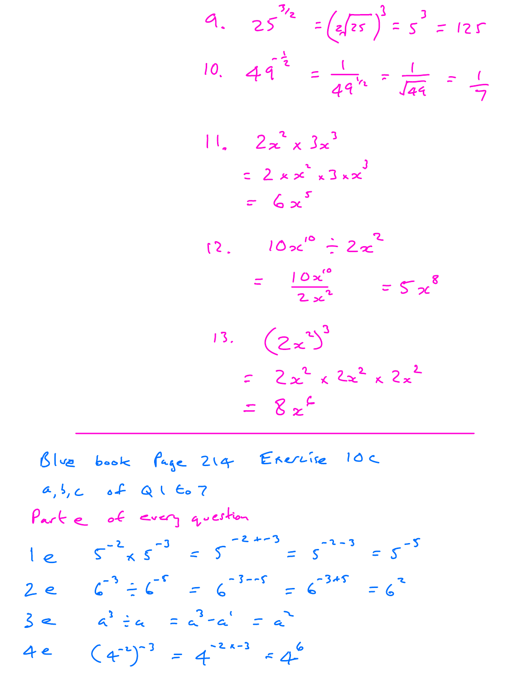$$
4. \quad 25^{3/2} = \left(\frac{1}{2}\sqrt{25}\right)^3 = 5^3 = 125
$$
\n
$$
10. \quad 4\sqrt{3} = \frac{1}{4\sqrt{3}} = \frac{1}{\sqrt{44}} = \frac{1}{7}
$$

$$
\begin{array}{ll}\n\left| \begin{array}{cc} 1 & 2x^2 \times 3x^3 \\ -2 \times x^2 \times 3 \times x^3 \end{array} \right| \\
= 6x^5\n\end{array}
$$

12. 
$$
10x^{10} \div 2x^{2}
$$
  
\n
$$
= \frac{10x^{10}}{2x^{2}} = 5x^{8}
$$
\n13.  $(2x^{2})^{3}$   
\n
$$
= 2x^{2} \times 2x^{2} \times 2x^{2}
$$
\n
$$
= 8x^{2}
$$

Blue book Page 214 Ererise 10C  $a, b, c$  of  $Q \cup C_0$  7 Parte of every question  $1e^{x^2} \times 5^{-3} = 5^{-2+3} = 5^{-2-3} = 5^{-5}$  $2e$   $6^{-3}$   $= 6^{-5}$   $= 6^{-3-5}$   $= 6^{-3+5}$   $= 6^{3}$  $3e$   $a^3 \div a = a^3 - a^1 = a^2$ 4e  $(4^{-2})^{-3} = 4^{-2k-3} = 4^{6}$